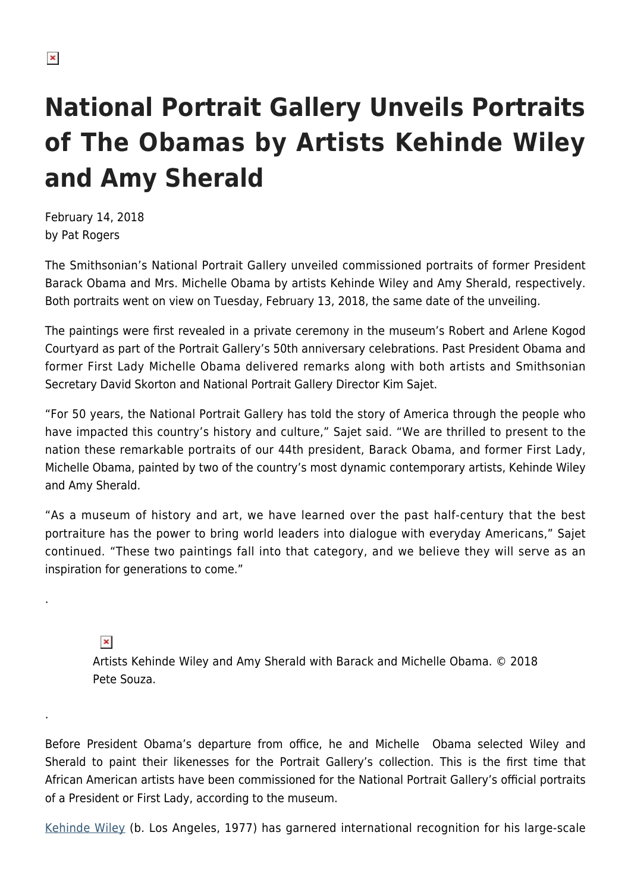## **National Portrait Gallery Unveils Portraits of The Obamas by Artists Kehinde Wiley and Amy Sherald**

February 14, 2018 by Pat Rogers

The Smithsonian's National Portrait Gallery unveiled commissioned portraits of former President Barack Obama and Mrs. Michelle Obama by artists Kehinde Wiley and Amy Sherald, respectively. Both portraits went on view on Tuesday, February 13, 2018, the same date of the unveiling.

The paintings were first revealed in a private ceremony in the museum's Robert and Arlene Kogod Courtyard as part of the Portrait Gallery's 50th anniversary celebrations. Past President Obama and former First Lady Michelle Obama delivered remarks along with both artists and Smithsonian Secretary David Skorton and National Portrait Gallery Director Kim Sajet.

"For 50 years, the National Portrait Gallery has told the story of America through the people who have impacted this country's history and culture," Sajet said. "We are thrilled to present to the nation these remarkable portraits of our 44th president, Barack Obama, and former First Lady, Michelle Obama, painted by two of the country's most dynamic contemporary artists, Kehinde Wiley and Amy Sherald.

"As a museum of history and art, we have learned over the past half-century that the best portraiture has the power to bring world leaders into dialogue with everyday Americans," Sajet continued. "These two paintings fall into that category, and we believe they will serve as an inspiration for generations to come."

 $\pmb{\times}$ 

.

.

Artists Kehinde Wiley and Amy Sherald with Barack and Michelle Obama. © 2018 Pete Souza.

Before President Obama's departure from office, he and Michelle Obama selected Wiley and Sherald to paint their likenesses for the Portrait Gallery's collection. This is the first time that African American artists have been commissioned for the National Portrait Gallery's official portraits of a President or First Lady, according to the museum.

[Kehinde Wiley](http://www.kehindewiley.com/) (b. Los Angeles, 1977) has garnered international recognition for his large-scale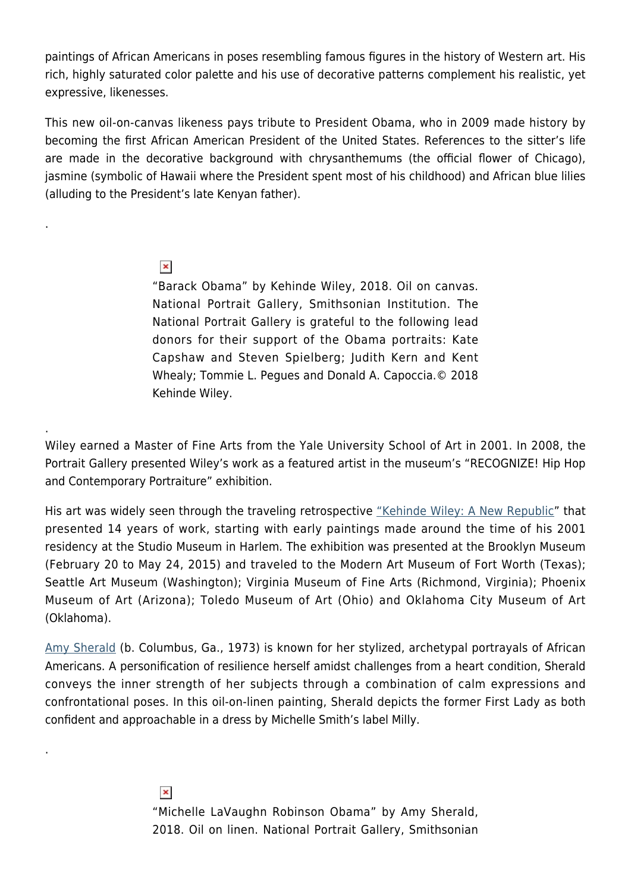paintings of African Americans in poses resembling famous figures in the history of Western art. His rich, highly saturated color palette and his use of decorative patterns complement his realistic, yet expressive, likenesses.

This new oil-on-canvas likeness pays tribute to President Obama, who in 2009 made history by becoming the first African American President of the United States. References to the sitter's life are made in the decorative background with chrysanthemums (the official flower of Chicago), jasmine (symbolic of Hawaii where the President spent most of his childhood) and African blue lilies (alluding to the President's late Kenyan father).

## $\pmb{\times}$

.

.

.

"Barack Obama" by Kehinde Wiley, 2018. Oil on canvas. National Portrait Gallery, Smithsonian Institution. The National Portrait Gallery is grateful to the following lead donors for their support of the Obama portraits: Kate Capshaw and Steven Spielberg; Judith Kern and Kent Whealy; Tommie L. Pegues and Donald A. Capoccia.© 2018 Kehinde Wiley.

Wiley earned a Master of Fine Arts from the Yale University School of Art in 2001. In 2008, the Portrait Gallery presented Wiley's work as a featured artist in the museum's "RECOGNIZE! Hip Hop and Contemporary Portraiture" exhibition.

His art was widely seen through the traveling retrospective ["Kehinde Wiley: A New Republic"](https://www.brooklynmuseum.org/exhibitions/touring/kehinde_wiley_new_republic) that presented 14 years of work, starting with early paintings made around the time of his 2001 residency at the Studio Museum in Harlem. The exhibition was presented at the Brooklyn Museum (February 20 to May 24, 2015) and traveled to the Modern Art Museum of Fort Worth (Texas); Seattle Art Museum (Washington); Virginia Museum of Fine Arts (Richmond, Virginia); Phoenix Museum of Art (Arizona); Toledo Museum of Art (Ohio) and Oklahoma City Museum of Art (Oklahoma).

[Amy Sherald](http://www.amysherald.com/) (b. Columbus, Ga., 1973) is known for her stylized, archetypal portrayals of African Americans. A personification of resilience herself amidst challenges from a heart condition, Sherald conveys the inner strength of her subjects through a combination of calm expressions and confrontational poses. In this oil-on-linen painting, Sherald depicts the former First Lady as both confident and approachable in a dress by Michelle Smith's label Milly.

> $\pmb{\times}$ "Michelle LaVaughn Robinson Obama" by Amy Sherald, 2018. Oil on linen. National Portrait Gallery, Smithsonian